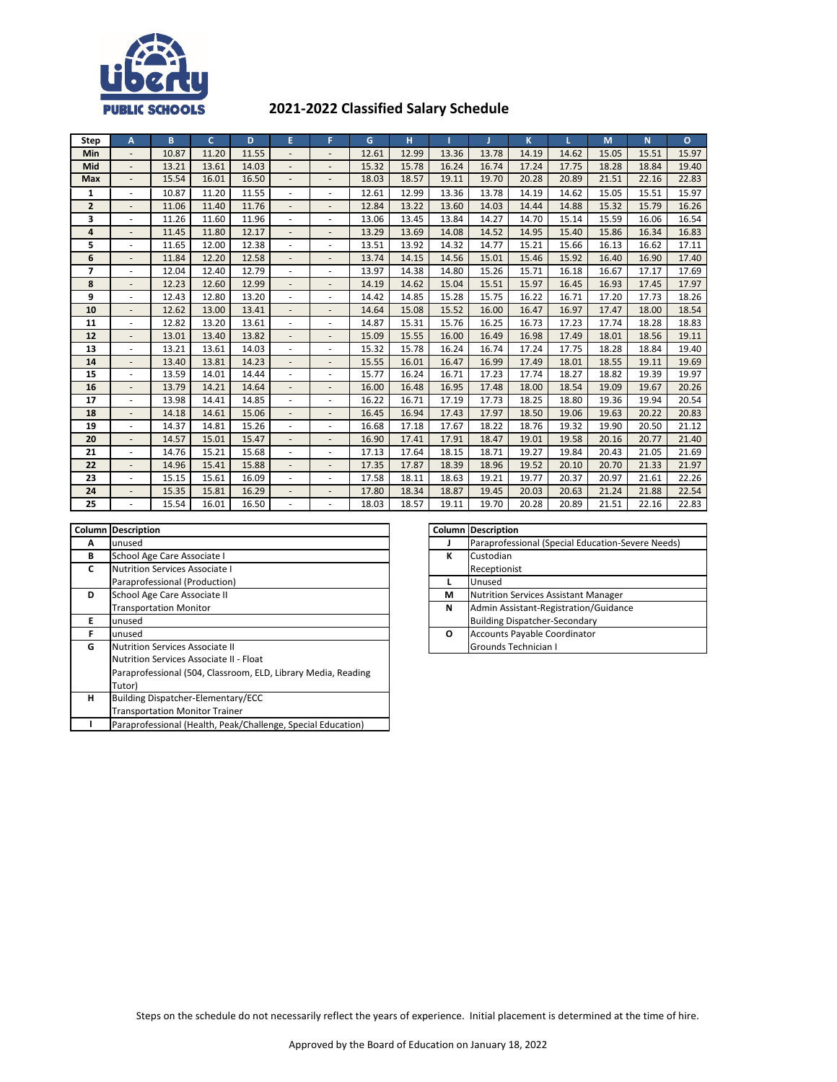

## **2021-2022 Classified Salary Schedule**

| Step           | А                        | B     | <sub>c</sub> | D     | E                        | F                            | G     | н     |       |       | K     |       | M     | N.    | $\Omega$ |
|----------------|--------------------------|-------|--------------|-------|--------------------------|------------------------------|-------|-------|-------|-------|-------|-------|-------|-------|----------|
| <b>Min</b>     |                          | 10.87 | 11.20        | 11.55 |                          | $\overline{\phantom{a}}$     | 12.61 | 12.99 | 13.36 | 13.78 | 14.19 | 14.62 | 15.05 | 15.51 | 15.97    |
| Mid            | $\overline{\phantom{a}}$ | 13.21 | 13.61        | 14.03 |                          | $\frac{1}{2}$                | 15.32 | 15.78 | 16.24 | 16.74 | 17.24 | 17.75 | 18.28 | 18.84 | 19.40    |
| Max            |                          | 15.54 | 16.01        | 16.50 |                          | $\overline{\phantom{a}}$     | 18.03 | 18.57 | 19.11 | 19.70 | 20.28 | 20.89 | 21.51 | 22.16 | 22.83    |
| 1              |                          | 10.87 | 11.20        | 11.55 |                          | ٠                            | 12.61 | 12.99 | 13.36 | 13.78 | 14.19 | 14.62 | 15.05 | 15.51 | 15.97    |
| $\overline{2}$ | $\overline{a}$           | 11.06 | 11.40        | 11.76 |                          | $\overline{\phantom{a}}$     | 12.84 | 13.22 | 13.60 | 14.03 | 14.44 | 14.88 | 15.32 | 15.79 | 16.26    |
| 3              |                          | 11.26 | 11.60        | 11.96 |                          | ٠                            | 13.06 | 13.45 | 13.84 | 14.27 | 14.70 | 15.14 | 15.59 | 16.06 | 16.54    |
| 4              | ٠                        | 11.45 | 11.80        | 12.17 |                          | $\overline{\phantom{a}}$     | 13.29 | 13.69 | 14.08 | 14.52 | 14.95 | 15.40 | 15.86 | 16.34 | 16.83    |
| 5              | ٠                        | 11.65 | 12.00        | 12.38 |                          | $\overline{\phantom{a}}$     | 13.51 | 13.92 | 14.32 | 14.77 | 15.21 | 15.66 | 16.13 | 16.62 | 17.11    |
| 6              | $\overline{a}$           | 11.84 | 12.20        | 12.58 |                          | $\frac{1}{2}$                | 13.74 | 14.15 | 14.56 | 15.01 | 15.46 | 15.92 | 16.40 | 16.90 | 17.40    |
| $\overline{ }$ | ٠                        | 12.04 | 12.40        | 12.79 |                          | ٠                            | 13.97 | 14.38 | 14.80 | 15.26 | 15.71 | 16.18 | 16.67 | 17.17 | 17.69    |
| 8              | $\overline{\phantom{a}}$ | 12.23 | 12.60        | 12.99 |                          | $\qquad \qquad \blacksquare$ | 14.19 | 14.62 | 15.04 | 15.51 | 15.97 | 16.45 | 16.93 | 17.45 | 17.97    |
| 9              | ٠                        | 12.43 | 12.80        | 13.20 | ٠.                       | ٠                            | 14.42 | 14.85 | 15.28 | 15.75 | 16.22 | 16.71 | 17.20 | 17.73 | 18.26    |
| 10             |                          | 12.62 | 13.00        | 13.41 |                          | $\overline{a}$               | 14.64 | 15.08 | 15.52 | 16.00 | 16.47 | 16.97 | 17.47 | 18.00 | 18.54    |
| 11             | $\overline{\phantom{a}}$ | 12.82 | 13.20        | 13.61 |                          | $\overline{\phantom{a}}$     | 14.87 | 15.31 | 15.76 | 16.25 | 16.73 | 17.23 | 17.74 | 18.28 | 18.83    |
| 12             |                          | 13.01 | 13.40        | 13.82 |                          | $\overline{\phantom{a}}$     | 15.09 | 15.55 | 16.00 | 16.49 | 16.98 | 17.49 | 18.01 | 18.56 | 19.11    |
| 13             | ٠                        | 13.21 | 13.61        | 14.03 |                          | $\overline{\phantom{a}}$     | 15.32 | 15.78 | 16.24 | 16.74 | 17.24 | 17.75 | 18.28 | 18.84 | 19.40    |
| 14             |                          | 13.40 | 13.81        | 14.23 |                          | $\overline{\phantom{a}}$     | 15.55 | 16.01 | 16.47 | 16.99 | 17.49 | 18.01 | 18.55 | 19.11 | 19.69    |
| 15             | ٠                        | 13.59 | 14.01        | 14.44 |                          | ٠                            | 15.77 | 16.24 | 16.71 | 17.23 | 17.74 | 18.27 | 18.82 | 19.39 | 19.97    |
| 16             | $\overline{\phantom{a}}$ | 13.79 | 14.21        | 14.64 | $\overline{\phantom{a}}$ | $\overline{\phantom{a}}$     | 16.00 | 16.48 | 16.95 | 17.48 | 18.00 | 18.54 | 19.09 | 19.67 | 20.26    |
| 17             |                          | 13.98 | 14.41        | 14.85 |                          | ٠                            | 16.22 | 16.71 | 17.19 | 17.73 | 18.25 | 18.80 | 19.36 | 19.94 | 20.54    |
| 18             |                          | 14.18 | 14.61        | 15.06 |                          | $\overline{\phantom{a}}$     | 16.45 | 16.94 | 17.43 | 17.97 | 18.50 | 19.06 | 19.63 | 20.22 | 20.83    |
| 19             |                          | 14.37 | 14.81        | 15.26 |                          | $\overline{\phantom{a}}$     | 16.68 | 17.18 | 17.67 | 18.22 | 18.76 | 19.32 | 19.90 | 20.50 | 21.12    |
| 20             | $\blacksquare$           | 14.57 | 15.01        | 15.47 |                          | $\frac{1}{2}$                | 16.90 | 17.41 | 17.91 | 18.47 | 19.01 | 19.58 | 20.16 | 20.77 | 21.40    |
| 21             |                          | 14.76 | 15.21        | 15.68 |                          | $\overline{a}$               | 17.13 | 17.64 | 18.15 | 18.71 | 19.27 | 19.84 | 20.43 | 21.05 | 21.69    |
| 22             |                          | 14.96 | 15.41        | 15.88 |                          | $\overline{\phantom{a}}$     | 17.35 | 17.87 | 18.39 | 18.96 | 19.52 | 20.10 | 20.70 | 21.33 | 21.97    |
| 23             | ٠                        | 15.15 | 15.61        | 16.09 | $\sim$                   | $\overline{\phantom{a}}$     | 17.58 | 18.11 | 18.63 | 19.21 | 19.77 | 20.37 | 20.97 | 21.61 | 22.26    |
| 24             | $\overline{\phantom{a}}$ | 15.35 | 15.81        | 16.29 |                          | $\qquad \qquad \blacksquare$ | 17.80 | 18.34 | 18.87 | 19.45 | 20.03 | 20.63 | 21.24 | 21.88 | 22.54    |
| 25             |                          | 15.54 | 16.01        | 16.50 |                          | ä,                           | 18.03 | 18.57 | 19.11 | 19.70 | 20.28 | 20.89 | 21.51 | 22.16 | 22.83    |

| Column | <b>Description</b>                                            |   | <b>Column Description</b> |
|--------|---------------------------------------------------------------|---|---------------------------|
| А      | unused                                                        |   | Paraprofessi              |
| В      | School Age Care Associate I                                   | К | Custodian                 |
| C      | Nutrition Services Associate I                                |   | Receptionist              |
|        | Paraprofessional (Production)                                 |   | Unused                    |
| D      | School Age Care Associate II                                  | М | <b>Nutrition Ser</b>      |
|        | <b>Transportation Monitor</b>                                 | N | <b>Admin Assist</b>       |
| F      | unused                                                        |   | <b>Building Disp</b>      |
| F      | unused                                                        | O | <b>Accounts Pay</b>       |
| G      | Nutrition Services Associate II                               |   | <b>Grounds Tec</b>        |
|        | Nutrition Services Associate II - Float                       |   |                           |
|        | Paraprofessional (504, Classroom, ELD, Library Media, Reading |   |                           |
|        | Tutor)                                                        |   |                           |
| н      | Building Dispatcher-Elementary/ECC                            |   |                           |
|        | <b>Transportation Monitor Trainer</b>                         |   |                           |
|        | Paraprofessional (Health, Peak/Challenge, Special Education)  |   |                           |

|   | <b>Column Description</b>                         |
|---|---------------------------------------------------|
|   | Paraprofessional (Special Education-Severe Needs) |
| к | Custodian                                         |
|   | Receptionist                                      |
|   | Unused                                            |
| М | <b>Nutrition Services Assistant Manager</b>       |
| N | Admin Assistant-Registration/Guidance             |
|   | <b>Building Dispatcher-Secondary</b>              |
| Ο | Accounts Payable Coordinator                      |
|   | Grounds Technician I                              |

Steps on the schedule do not necessarily reflect the years of experience. Initial placement is determined at the time of hire.